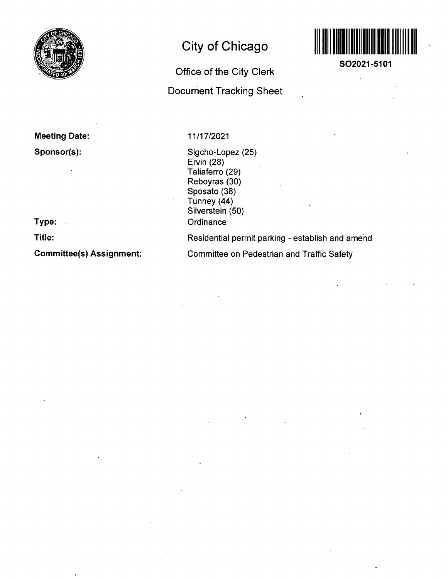

# **City of Chicago**

## **Office of the City Clerk**

**Document Tracking Sheet** 



**SO2021-5101** 

 $\ddot{\phantom{a}}$ 

**Meeting Date: Sponsor(s):** 

**Type:** 

**Title:** 

**Committee(s) Assignment:** 

### 11/17/2021

Sigcho-Lopez (25) Ervin (28) Taliaferro (29) Reboyras (30) Sposato (38) Tunney (44) Silverstein (50) **Ordinance** 

Residential permit parking - establish and amend

Committee on Pedestrian and Traffic Safety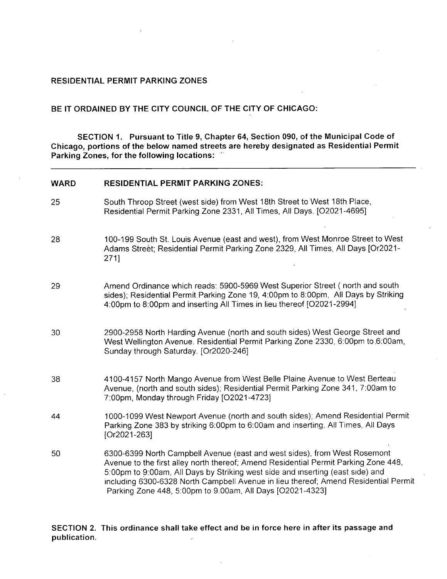### **RESIDENTIAL PERMIT PARKING ZONES**

### **B E IT ORDAINED BY THE CITY COUNCIL OF THE CITY OF CHICAGO:**

**SECTION 1. Pursuant to Title 9, Chapter 64, Section 090, of the Municipal Code of Chicago, portions of the below named streets are hereby designated as Residential Permit Parking Zones, for the following locations:** 

| <b>WARD</b> | <b>RESIDENTIAL PERMIT PARKING ZONES:</b>                                                                                                                                                                                                                                                                                                                                                               |
|-------------|--------------------------------------------------------------------------------------------------------------------------------------------------------------------------------------------------------------------------------------------------------------------------------------------------------------------------------------------------------------------------------------------------------|
| 25          | South Throop Street (west side) from West 18th Street to West 18th Place,<br>Residential Permit Parking Zone 2331, All Times, All Days. [O2021-4695]                                                                                                                                                                                                                                                   |
| 28          | 100-199 South St. Louis Avenue (east and west), from West Monroe Street to West<br>Adams Street; Residential Permit Parking Zone 2329, All Times, All Days [Or2021-<br>271]                                                                                                                                                                                                                            |
| 29          | Amend Ordinance which reads: 5900-5969 West Superior Street (north and south<br>sides); Residential Permit Parking Zone 19, 4:00pm to 8:00pm, All Days by Striking<br>4:00pm to 8:00pm and inserting All Times in lieu thereof [O2021-2994]                                                                                                                                                            |
| 30          | 2900-2958 North Harding Avenue (north and south sides) West George Street and<br>West Wellington Avenue. Residential Permit Parking Zone 2330, 6:00pm to 6:00am,<br>Sunday through Saturday. [Or2020-246]                                                                                                                                                                                              |
| 38          | 4100-4157 North Mango Avenue from West Belle Plaine Avenue to West Berteau<br>Avenue, (north and south sides); Residential Permit Parking Zone 341, 7:00am to<br>7:00pm, Monday through Friday [O2021-4723]                                                                                                                                                                                            |
| 44          | 1000-1099 West Newport Avenue (north and south sides); Amend Residential Permit<br>Parking Zone 383 by striking 6:00pm to 6:00am and inserting, All Times, All Days<br>[Or2021-263]                                                                                                                                                                                                                    |
| 50          | 6300-6399 North Campbell Avenue (east and west sides), from West Rosemont<br>Avenue to the first alley north thereof; Amend Residential Permit Parking Zone 448,<br>5:00pm to 9:00am, All Days by Striking west side and inserting (east side) and<br>including 6300-6328 North Campbell Avenue in lieu thereof; Amend Residential Permit<br>Parking Zone 448, 5:00pm to 9.00am, All Days [O2021-4323] |

#### **SECTION 2. This ordinance shall take effect and be in force here in after its passage and publication.**  $\mathcal{L}$